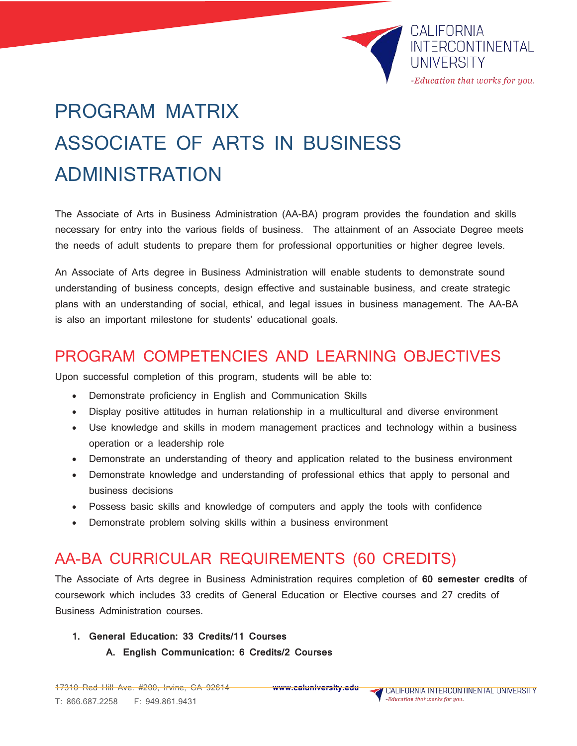

# PROGRAM MATRIX ASSOCIATE OF ARTS IN BUSINESS ADMINISTRATION

The Associate of Arts in Business Administration (AA-BA) program provides the foundation and skills necessary for entry into the various fields of business. The attainment of an Associate Degree meets the needs of adult students to prepare them for professional opportunities or higher degree levels.

An Associate of Arts degree in Business Administration will enable students to demonstrate sound understanding of business concepts, design effective and sustainable business, and create strategic plans with an understanding of social, ethical, and legal issues in business management. The AA-BA is also an important milestone for students' educational goals.

## PROGRAM COMPETENCIES AND LEARNING OBJECTIVES

Upon successful completion of this program, students will be able to:

- Demonstrate proficiency in English and Communication Skills
- Display positive attitudes in human relationship in a multicultural and diverse environment
- Use knowledge and skills in modern management practices and technology within a business operation or a leadership role
- Demonstrate an understanding of theory and application related to the business environment
- Demonstrate knowledge and understanding of professional ethics that apply to personal and business decisions
- Possess basic skills and knowledge of computers and apply the tools with confidence
- Demonstrate problem solving skills within a business environment

### AA-BA CURRICULAR REQUIREMENTS (60 CREDITS)

The Associate of Arts degree in Business Administration requires completion of **60 semester credits** of coursework which includes 33 credits of General Education or Elective courses and 27 credits of Business Administration courses.

- **1. General Education: 33 Credits/11 Courses**
	- **A. English Communication: 6 Credits/2 Courses**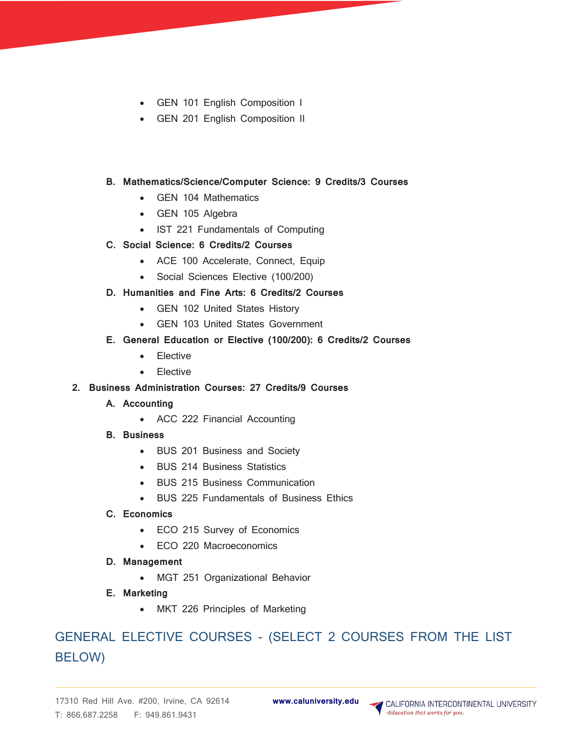- GEN 101 English Composition I
- GEN 201 English Composition II

#### **B. Mathematics/Science/Computer Science: 9 Credits/3 Courses**

- GEN 104 Mathematics
- GEN 105 Algebra
- IST 221 Fundamentals of Computing
- **C. Social Science: 6 Credits/2 Courses**
	- ACE 100 Accelerate, Connect, Equip
	- Social Sciences Elective (100/200)

#### **D. Humanities and Fine Arts: 6 Credits/2 Courses**

- GEN 102 United States History
- GEN 103 United States Government

#### **E. General Education or Elective (100/200): 6 Credits/2 Courses**

- Elective
- Elective
- **2. Business Administration Courses: 27 Credits/9 Courses**
	- **A. Accounting**
		- ACC 222 Financial Accounting
	- **B. Business**
		- BUS 201 Business and Society
		- BUS 214 Business Statistics
		- BUS 215 Business Communication
		- BUS 225 Fundamentals of Business Ethics
	- **C. Economics**
		- ECO 215 Survey of Economics
		- ECO 220 Macroeconomics
	- **D. Management** 
		- MGT 251 Organizational Behavior
	- **E. Marketing**
		- MKT 226 Principles of Marketing

## GENERAL ELECTIVE COURSES - (SELECT 2 COURSES FROM THE LIST BELOW)